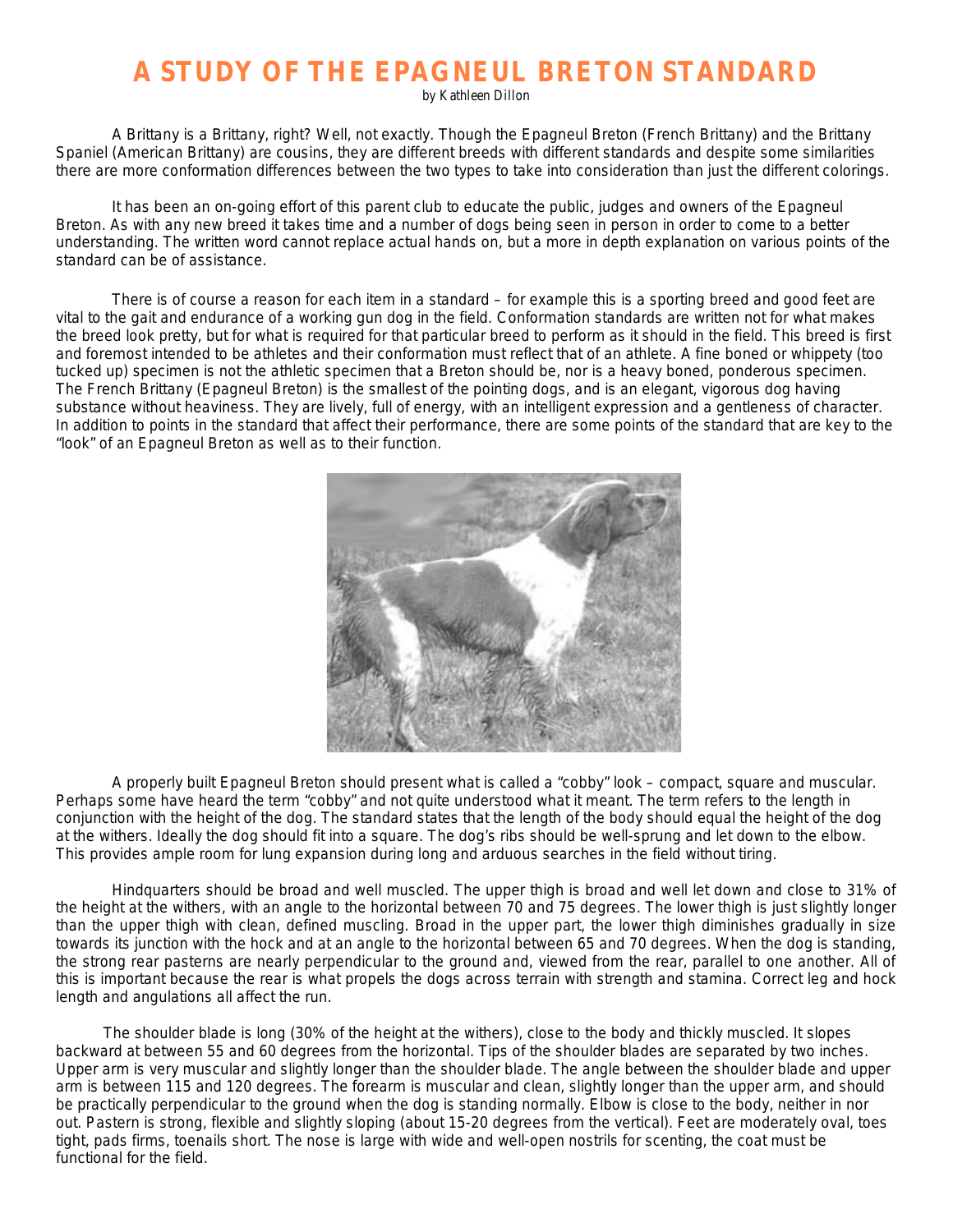## **A STUDY OF THE EPAGNEUL BRETON STANDARD**

by Kathleen Dillon

A Brittany is a Brittany, right? Well, not exactly. Though the Epagneul Breton (French Brittany) and the Brittany Spaniel (American Brittany) are cousins, they are different breeds with different standards and despite some similarities there are more conformation differences between the two types to take into consideration than just the different colorings.

It has been an on-going effort of this parent club to educate the public, judges and owners of the Epagneul Breton. As with any new breed it takes time and a number of dogs being seen in person in order to come to a better understanding. The written word cannot replace actual hands on, but a more in depth explanation on various points of the standard can be of assistance.

There is of course a reason for each item in a standard – for example this is a sporting breed and good feet are vital to the gait and endurance of a working gun dog in the field. Conformation standards are written not for what makes the breed look pretty, but for what is required for that particular breed to perform as it should in the field. This breed is first and foremost intended to be athletes and their conformation must reflect that of an athlete. A fine boned or whippety (too tucked up) specimen is not the athletic specimen that a Breton should be, nor is a heavy boned, ponderous specimen. The French Brittany (Epagneul Breton) is the smallest of the pointing dogs, and is an elegant, vigorous dog having substance without heaviness. They are lively, full of energy, with an intelligent expression and a gentleness of character. In addition to points in the standard that affect their performance, there are some points of the standard that are key to the "look" of an Epagneul Breton as well as to their function.



A properly built Epagneul Breton should present what is called a "cobby" look – compact, square and muscular. Perhaps some have heard the term "cobby" and not quite understood what it meant. The term refers to the length in conjunction with the height of the dog. The standard states that the length of the body should equal the height of the dog at the withers. Ideally the dog should fit into a square. The dog's ribs should be well-sprung and let down to the elbow. This provides ample room for lung expansion during long and arduous searches in the field without tiring.

Hindquarters should be broad and well muscled. The upper thigh is broad and well let down and close to 31% of the height at the withers, with an angle to the horizontal between 70 and 75 degrees. The lower thigh is just slightly longer than the upper thigh with clean, defined muscling. Broad in the upper part, the lower thigh diminishes gradually in size towards its junction with the hock and at an angle to the horizontal between 65 and 70 degrees. When the dog is standing, the strong rear pasterns are nearly perpendicular to the ground and, viewed from the rear, parallel to one another. All of this is important because the rear is what propels the dogs across terrain with strength and stamina. Correct leg and hock length and angulations all affect the run.

 The shoulder blade is long (30% of the height at the withers), close to the body and thickly muscled. It slopes backward at between 55 and 60 degrees from the horizontal. Tips of the shoulder blades are separated by two inches. Upper arm is very muscular and slightly longer than the shoulder blade. The angle between the shoulder blade and upper arm is between 115 and 120 degrees. The forearm is muscular and clean, slightly longer than the upper arm, and should be practically perpendicular to the ground when the dog is standing normally. Elbow is close to the body, neither in nor out. Pastern is strong, flexible and slightly sloping (about 15-20 degrees from the vertical). Feet are moderately oval, toes tight, pads firms, toenails short. The nose is large with wide and well-open nostrils for scenting, the coat must be functional for the field.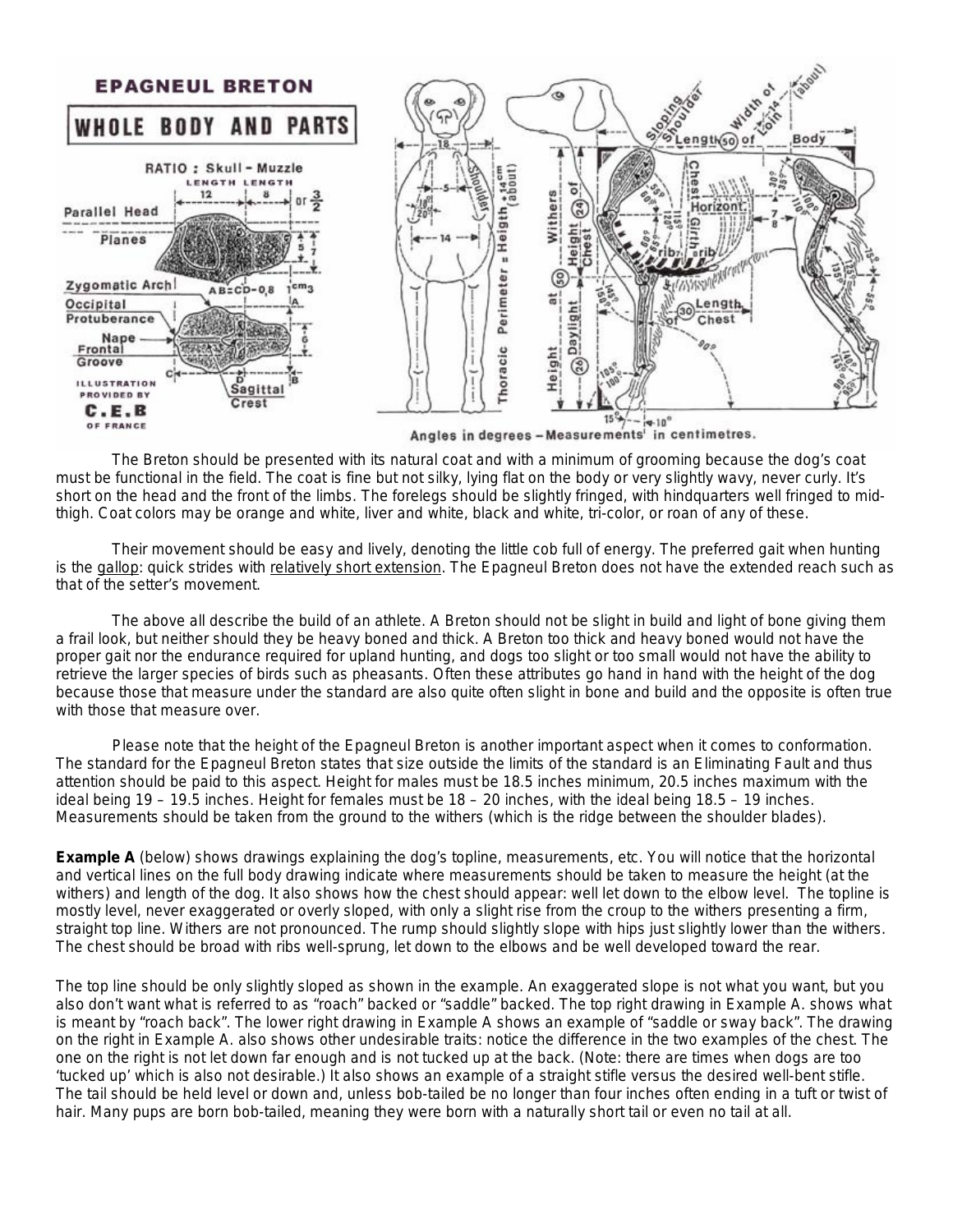

Angles in degrees - Measurements' in centimetres.

The Breton should be presented with its natural coat and with a minimum of grooming because the dog's coat must be functional in the field. The coat is fine but not silky, lying flat on the body or very slightly wavy, never curly. It's short on the head and the front of the limbs. The forelegs should be slightly fringed, with hindquarters well fringed to midthigh. Coat colors may be orange and white, liver and white, black and white, tri-color, or roan of any of these.

Their movement should be easy and lively, denoting the little cob full of energy. The preferred gait when hunting is the gallop: quick strides with relatively short extension. The Epagneul Breton does not have the extended reach such as that of the setter's movement.

The above all describe the build of an athlete. A Breton should not be slight in build and light of bone giving them a frail look, but neither should they be heavy boned and thick. A Breton too thick and heavy boned would not have the proper gait nor the endurance required for upland hunting, and dogs too slight or too small would not have the ability to retrieve the larger species of birds such as pheasants. Often these attributes go hand in hand with the height of the dog because those that measure under the standard are also quite often slight in bone and build and the opposite is often true with those that measure over.

Please note that the height of the Epagneul Breton is another important aspect when it comes to conformation. The standard for the Epagneul Breton states that size outside the limits of the standard is an Eliminating Fault and thus attention should be paid to this aspect. Height for males must be 18.5 inches minimum, 20.5 inches maximum with the ideal being 19 – 19.5 inches. Height for females must be 18 – 20 inches, with the ideal being 18.5 – 19 inches. Measurements should be taken from the ground to the withers (which is the ridge between the shoulder blades).

**Example A** (below) shows drawings explaining the dog's topline, measurements, etc. You will notice that the horizontal and vertical lines on the full body drawing indicate where measurements should be taken to measure the height (at the withers) and length of the dog. It also shows how the chest should appear: well let down to the elbow level. The topline is mostly level, never exaggerated or overly sloped, with only a slight rise from the croup to the withers presenting a firm, straight top line. Withers are not pronounced. The rump should slightly slope with hips just slightly lower than the withers. The chest should be broad with ribs well-sprung, let down to the elbows and be well developed toward the rear.

The top line should be only slightly sloped as shown in the example. An exaggerated slope is not what you want, but you also don't want what is referred to as "roach" backed or "saddle" backed. The top right drawing in Example A. shows what is meant by "roach back". The lower right drawing in Example A shows an example of "saddle or sway back". The drawing on the right in Example A. also shows other undesirable traits: notice the difference in the two examples of the chest. The one on the right is not let down far enough and is not tucked up at the back. (Note: there are times when dogs are too 'tucked up' which is also not desirable.) It also shows an example of a straight stifle versus the desired well-bent stifle. The tail should be held level or down and, unless bob-tailed be no longer than four inches often ending in a tuft or twist of hair. Many pups are born bob-tailed, meaning they were born with a naturally short tail or even no tail at all.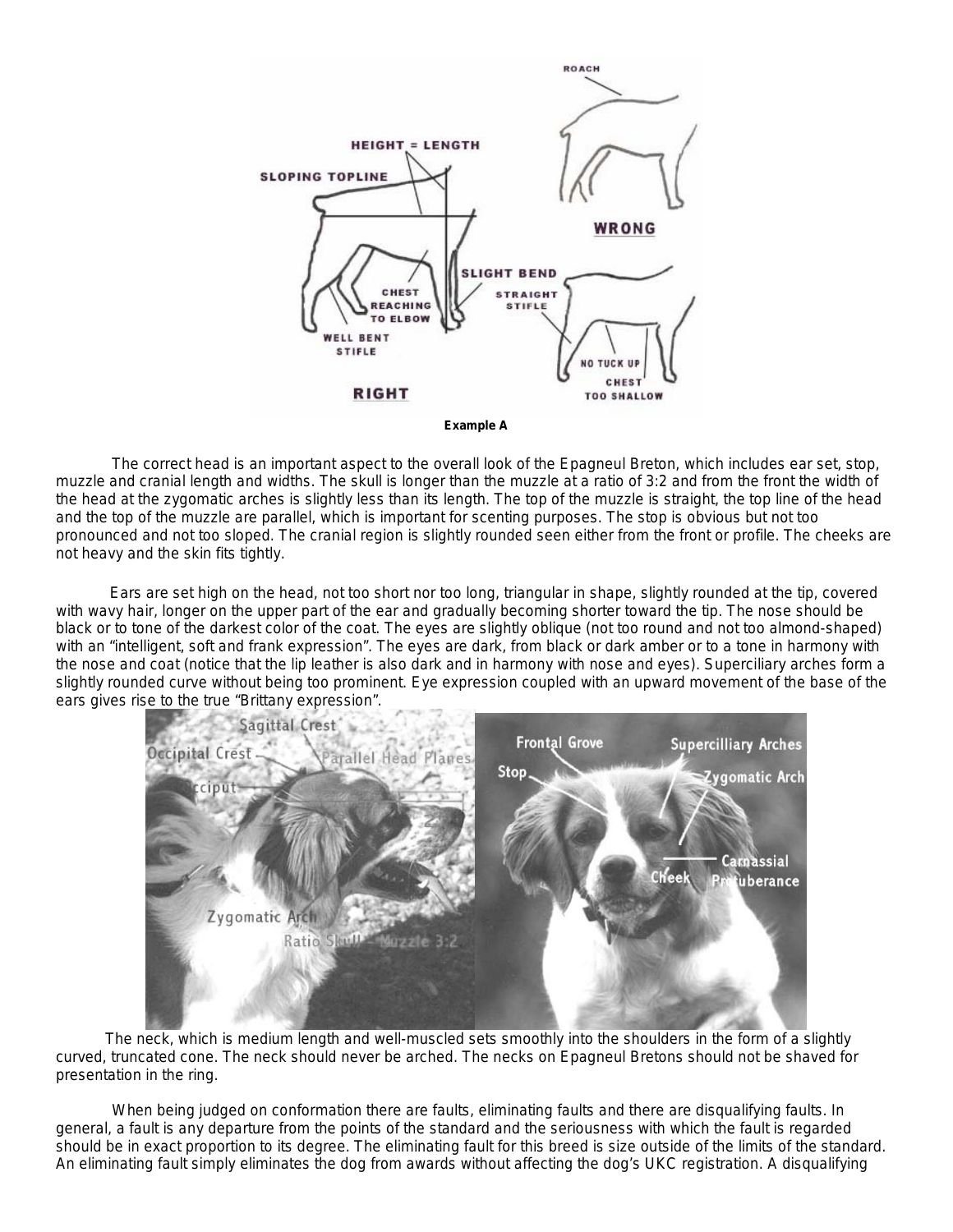



The correct head is an important aspect to the overall look of the Epagneul Breton, which includes ear set, stop, muzzle and cranial length and widths. The skull is longer than the muzzle at a ratio of 3:2 and from the front the width of the head at the zygomatic arches is slightly less than its length. The top of the muzzle is straight, the top line of the head and the top of the muzzle are parallel, which is important for scenting purposes. The stop is obvious but not too pronounced and not too sloped. The cranial region is slightly rounded seen either from the front or profile. The cheeks are not heavy and the skin fits tightly.

 Ears are set high on the head, not too short nor too long, triangular in shape, slightly rounded at the tip, covered with wavy hair, longer on the upper part of the ear and gradually becoming shorter toward the tip. The nose should be black or to tone of the darkest color of the coat. The eyes are slightly oblique (not too round and not too almond-shaped) with an "intelligent, soft and frank expression". The eyes are dark, from black or dark amber or to a tone in harmony with the nose and coat (notice that the lip leather is also dark and in harmony with nose and eyes). Superciliary arches form a slightly rounded curve without being too prominent. Eye expression coupled with an upward movement of the base of the ears gives rise to the true "Brittany expression".



 The neck, which is medium length and well-muscled sets smoothly into the shoulders in the form of a slightly curved, truncated cone. The neck should never be arched. The necks on Epagneul Bretons should not be shaved for presentation in the ring.

When being judged on conformation there are faults, eliminating faults and there are disqualifying faults. In general, a fault is any departure from the points of the standard and the seriousness with which the fault is regarded should be in exact proportion to its degree. The eliminating fault for this breed is size outside of the limits of the standard. An eliminating fault simply eliminates the dog from awards without affecting the dog's UKC registration. A disqualifying